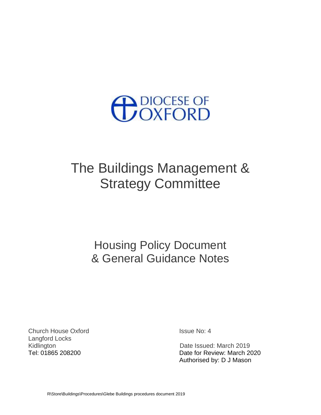

# The Buildings Management & Strategy Committee

Housing Policy Document & General Guidance Notes

Church House Oxford **Issue No: 4** Langford Locks Kidlington **Date Issued: March 2019** 

Tel: 01865 208200 Date for Review: March 2020 Authorised by: D J Mason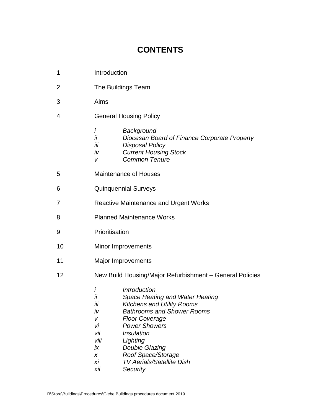# **CONTENTS**

- 2 The Buildings Team
- 3 Aims
- 4 General Housing Policy

|  |  | Background |
|--|--|------------|
|--|--|------------|

- *ii Diocesan Board of Finance Corporate Property*
- *iii Disposal Policy*
- *iv Current Housing Stock*
- *v Common Tenure*
- 5 Maintenance of Houses
- 6 Quinquennial Surveys
- 7 Reactive Maintenance and Urgent Works
- 8 Planned Maintenance Works
- 9 Prioritisation
- 10 Minor Improvements
- 11 Major Improvements
- 12 New Build Housing/Major Refurbishment General Policies
	- *i Introduction*
	- *ii Space Heating and Water Heating*
	- *iii Kitchens and Utility Rooms*
	- *iv Bathrooms and Shower Rooms*
	- *v Floor Coverage*
	- *vi Power Showers*
	- *vii Insulation*
	- *viii Lighting*
	- *ix Double Glazing*
	- *x Roof Space/Storage*
	- *xi TV Aerials/Satellite Dish*
	- *xii Security*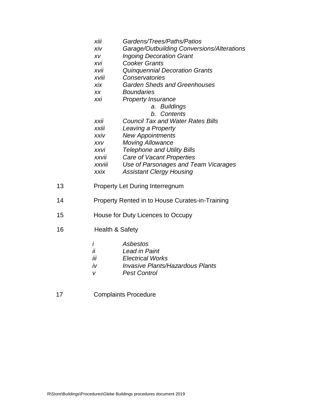| <br>Gardens/Trees/Paths/Patios<br>XIII |  |
|----------------------------------------|--|
|----------------------------------------|--|

- *xiv Garage/Outbuilding Conversions/Alterations*
- *xv Ingoing Decoration Grant*
- *xvi Cooker Grants*
- *xvii Quinquennial Decoration Grants*
- *xviii Conservatories*
- *xix Garden Sheds and Greenhouses*
- *xx Boundaries*
- *xxi Property Insurance*
	- *a. Buildings*
	- *b. Contents*
- *xxii Council Tax and Water Rates Bills*
- *xxiii Leaving a Property*
- *xxiv New Appointments*
- *xxv Moving Allowance*
- *xxvi Telephone and Utility Bills*
- *xxvii Care of Vacant Properties*
- *xxviii Use of Parsonages and Team Vicarages*
- *xxix Assistant Clergy Housing*
- 13 Property Let During Interregnum
- 14 Property Rented in to House Curates-in-Training
- 15 House for Duty Licences to Occupy
- 16 Health & Safety
	- *i Asbestos*
	- *ii Lead in Paint*
	- *iii Electrical Works*
	- *iv Invasive Plants/Hazardous Plants*
	- *v Pest Control*
- 17 Complaints Procedure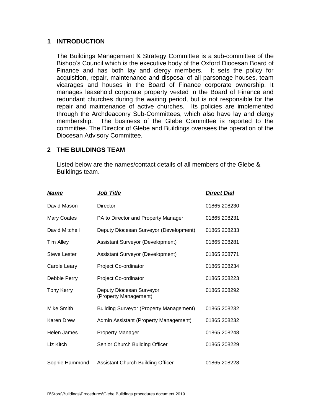# **1 INTRODUCTION**

The Buildings Management & Strategy Committee is a sub-committee of the Bishop's Council which is the executive body of the Oxford Diocesan Board of Finance and has both lay and clergy members. It sets the policy for acquisition, repair, maintenance and disposal of all parsonage houses, team vicarages and houses in the Board of Finance corporate ownership. It manages leasehold corporate property vested in the Board of Finance and redundant churches during the waiting period, but is not responsible for the repair and maintenance of active churches. Its policies are implemented through the Archdeaconry Sub-Committees, which also have lay and clergy membership. The business of the Glebe Committee is reported to the committee. The Director of Glebe and Buildings oversees the operation of the Diocesan Advisory Committee.

#### **2 THE BUILDINGS TEAM**

Listed below are the names/contact details of all members of the Glebe & Buildings team.

| <b>Name</b>         | <b>Job Title</b>                                  | <b>Direct Dial</b> |
|---------------------|---------------------------------------------------|--------------------|
| David Mason         | <b>Director</b>                                   | 01865 208230       |
| <b>Mary Coates</b>  | PA to Director and Property Manager               | 01865 208231       |
| David Mitchell      | Deputy Diocesan Surveyor (Development)            | 01865 208233       |
| <b>Tim Alley</b>    | Assistant Surveyor (Development)                  | 01865 208281       |
| <b>Steve Lester</b> | Assistant Surveyor (Development)                  | 01865 208771       |
| Carole Leary        | Project Co-ordinator                              | 01865 208234       |
| Debbie Perry        | Project Co-ordinator                              | 01865 208223       |
| <b>Tony Kerry</b>   | Deputy Diocesan Surveyor<br>(Property Management) | 01865 208292       |
| Mike Smith          | <b>Building Surveyor (Property Management)</b>    | 01865 208232       |
| Karen Drew          | Admin Assistant (Property Management)             | 01865 208232       |
| Helen James         | <b>Property Manager</b>                           | 01865 208248       |
| Liz Kitch           | Senior Church Building Officer                    | 01865 208229       |
| Sophie Hammond      | <b>Assistant Church Building Officer</b>          | 01865 208228       |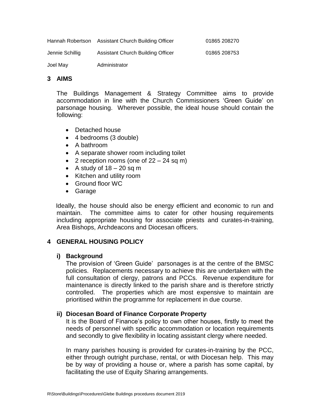| Joel May         | Administrator                     |              |
|------------------|-----------------------------------|--------------|
| Jennie Schillig  | Assistant Church Building Officer | 01865 208753 |
| Hannah Robertson | Assistant Church Building Officer | 01865 208270 |

#### **3 AIMS**

The Buildings Management & Strategy Committee aims to provide accommodation in line with the Church Commissioners 'Green Guide' on parsonage housing. Wherever possible, the ideal house should contain the following:

- Detached house
- 4 bedrooms (3 double)
- A bathroom
- A separate shower room including toilet
- 2 reception rooms (one of  $22 24$  sq m)
- A study of  $18 20$  sq m
- Kitchen and utility room
- Ground floor WC
- Garage

 Ideally, the house should also be energy efficient and economic to run and maintain. The committee aims to cater for other housing requirements including appropriate housing for associate priests and curates-in-training, Area Bishops, Archdeacons and Diocesan officers.

# **4 GENERAL HOUSING POLICY**

#### **i) Background**

The provision of 'Green Guide' parsonages is at the centre of the BMSC policies. Replacements necessary to achieve this are undertaken with the full consultation of clergy, patrons and PCCs. Revenue expenditure for maintenance is directly linked to the parish share and is therefore strictly controlled. The properties which are most expensive to maintain are prioritised within the programme for replacement in due course.

#### **ii) Diocesan Board of Finance Corporate Property**

It is the Board of Finance's policy to own other houses, firstly to meet the needs of personnel with specific accommodation or location requirements and secondly to give flexibility in locating assistant clergy where needed.

In many parishes housing is provided for curates-in-training by the PCC, either through outright purchase, rental, or with Diocesan help. This may be by way of providing a house or, where a parish has some capital, by facilitating the use of Equity Sharing arrangements.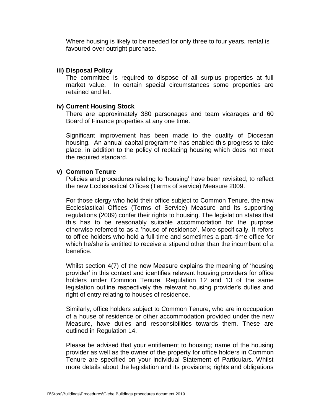Where housing is likely to be needed for only three to four years, rental is favoured over outright purchase.

#### **iii) Disposal Policy**

The committee is required to dispose of all surplus properties at full market value. In certain special circumstances some properties are retained and let.

#### **iv) Current Housing Stock**

There are approximately 380 parsonages and team vicarages and 60 Board of Finance properties at any one time.

Significant improvement has been made to the quality of Diocesan housing. An annual capital programme has enabled this progress to take place, in addition to the policy of replacing housing which does not meet the required standard.

#### **v) Common Tenure**

Policies and procedures relating to 'housing' have been revisited, to reflect the new Ecclesiastical Offices (Terms of service) Measure 2009.

For those clergy who hold their office subject to Common Tenure, the new Ecclesiastical Offices (Terms of Service) Measure and its supporting regulations (2009) confer their rights to housing. The legislation states that this has to be reasonably suitable accommodation for the purpose otherwise referred to as a 'house of residence'. More specifically, it refers to office holders who hold a full-time and sometimes a part–time office for which he/she is entitled to receive a stipend other than the incumbent of a benefice.

Whilst section 4(7) of the new Measure explains the meaning of 'housing provider' in this context and identifies relevant housing providers for office holders under Common Tenure, Regulation 12 and 13 of the same legislation outline respectively the relevant housing provider's duties and right of entry relating to houses of residence.

Similarly, office holders subject to Common Tenure, who are in occupation of a house of residence or other accommodation provided under the new Measure, have duties and responsibilities towards them. These are outlined in Regulation 14.

Please be advised that your entitlement to housing; name of the housing provider as well as the owner of the property for office holders in Common Tenure are specified on your individual Statement of Particulars. Whilst more details about the legislation and its provisions; rights and obligations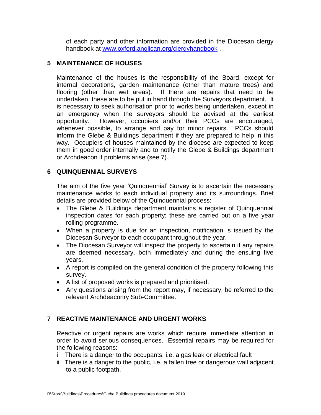of each party and other information are provided in the Diocesan clergy handbook at [www.oxford.anglican.org/clergyhandbook](http://www.oxford.anglican.org/clergyhandbook) .

# **5 MAINTENANCE OF HOUSES**

Maintenance of the houses is the responsibility of the Board, except for internal decorations, garden maintenance (other than mature trees) and flooring (other than wet areas). If there are repairs that need to be undertaken, these are to be put in hand through the Surveyors department. It is necessary to seek authorisation prior to works being undertaken, except in an emergency when the surveyors should be advised at the earliest opportunity. However, occupiers and/or their PCCs are encouraged, whenever possible, to arrange and pay for minor repairs. PCCs should inform the Glebe & Buildings department if they are prepared to help in this way. Occupiers of houses maintained by the diocese are expected to keep them in good order internally and to notify the Glebe & Buildings department or Archdeacon if problems arise (see 7).

# **6 QUINQUENNIAL SURVEYS**

The aim of the five year 'Quinquennial' Survey is to ascertain the necessary maintenance works to each individual property and its surroundings. Brief details are provided below of the Quinquennial process:

- The Glebe & Buildings department maintains a register of Quinquennial inspection dates for each property; these are carried out on a five year rolling programme.
- When a property is due for an inspection, notification is issued by the Diocesan Surveyor to each occupant throughout the year.
- The Diocesan Surveyor will inspect the property to ascertain if any repairs are deemed necessary, both immediately and during the ensuing five years.
- A report is compiled on the general condition of the property following this survey.
- A list of proposed works is prepared and prioritised.
- Any questions arising from the report may, if necessary, be referred to the relevant Archdeaconry Sub-Committee.

# **7 REACTIVE MAINTENANCE AND URGENT WORKS**

Reactive or urgent repairs are works which require immediate attention in order to avoid serious consequences. Essential repairs may be required for the following reasons:

- i There is a danger to the occupants, i.e. a gas leak or electrical fault
- ii There is a danger to the public, i.e. a fallen tree or dangerous wall adjacent to a public footpath.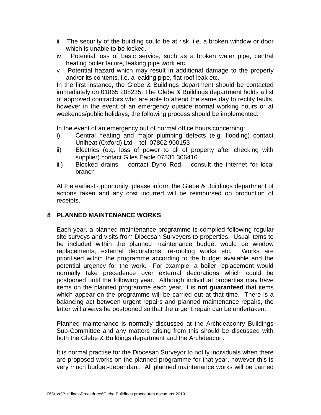- iii The security of the building could be at risk, i.e. a broken window or door which is unable to be locked.
- iv Potential loss of basic service, such as a broken water pipe, central heating boiler failure, leaking pipe work etc.
- v Potential hazard which may result in additional damage to the property and/or its contents, i.e. a leaking pipe, flat roof leak etc.

In the first instance, the Glebe & Buildings department should be contacted immediately on 01865 208235. The Glebe & Buildings department holds a list of approved contractors who are able to attend the same day to rectify faults, however in the event of an emergency outside normal working hours or at weekends/public holidays, the following process should be implemented:

In the event of an emergency out of normal office hours concerning:

- i) Central heating and major plumbing defects (e.g. flooding) contact Uniheat (Oxford) Ltd – tel: 07802 900153
- ii) Electrics (e.g. loss of power to all of property after checking with supplier) contact Giles Eadle 07831 306416
- iii) Blocked drains contact Dyno Rod consult the internet for local branch

At the earliest opportunity, please inform the Glebe & Buildings department of actions taken and any cost incurred will be reimbursed on production of receipts.

# **8 PLANNED MAINTENANCE WORKS**

Each year, a planned maintenance programme is compiled following regular site surveys and visits from Diocesan Surveyors to properties. Usual items to be included within the planned maintenance budget would be window replacements, external decorations, re-roofing works etc. Works are prioritised within the programme according to the budget available and the potential urgency for the work. For example, a boiler replacement would normally take precedence over external decorations which could be postponed until the following year. Although individual properties may have items on the planned programme each year, it is **not guaranteed** that items which appear on the programme will be carried out at that time. There is a balancing act between urgent repairs and planned maintenance repairs, the latter will always be postponed so that the urgent repair can be undertaken.

Planned maintenance is normally discussed at the Archdeaconry Buildings Sub-Committee and any matters arising from this should be discussed with both the Glebe & Buildings department and the Archdeacon.

It is normal practise for the Diocesan Surveyor to notify individuals when there are proposed works on the planned programme for that year, however this is very much budget-dependant. All planned maintenance works will be carried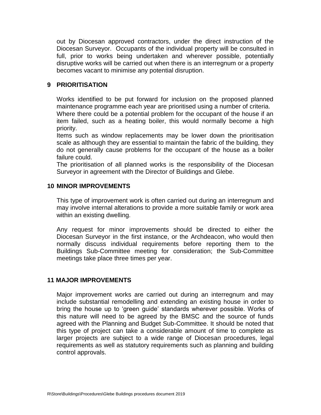out by Diocesan approved contractors, under the direct instruction of the Diocesan Surveyor. Occupants of the individual property will be consulted in full, prior to works being undertaken and wherever possible, potentially disruptive works will be carried out when there is an interregnum or a property becomes vacant to minimise any potential disruption.

# **9 PRIORITISATION**

Works identified to be put forward for inclusion on the proposed planned maintenance programme each year are prioritised using a number of criteria. Where there could be a potential problem for the occupant of the house if an item failed, such as a heating boiler, this would normally become a high priority.

Items such as window replacements may be lower down the prioritisation scale as although they are essential to maintain the fabric of the building, they do not generally cause problems for the occupant of the house as a boiler failure could.

The prioritisation of all planned works is the responsibility of the Diocesan Surveyor in agreement with the Director of Buildings and Glebe.

#### **10 MINOR IMPROVEMENTS**

This type of improvement work is often carried out during an interregnum and may involve internal alterations to provide a more suitable family or work area within an existing dwelling.

Any request for minor improvements should be directed to either the Diocesan Surveyor in the first instance, or the Archdeacon, who would then normally discuss individual requirements before reporting them to the Buildings Sub-Committee meeting for consideration; the Sub-Committee meetings take place three times per year.

# **11 MAJOR IMPROVEMENTS**

Major improvement works are carried out during an interregnum and may include substantial remodelling and extending an existing house in order to bring the house up to 'green guide' standards wherever possible. Works of this nature will need to be agreed by the BMSC and the source of funds agreed with the Planning and Budget Sub-Committee. It should be noted that this type of project can take a considerable amount of time to complete as larger projects are subject to a wide range of Diocesan procedures, legal requirements as well as statutory requirements such as planning and building control approvals.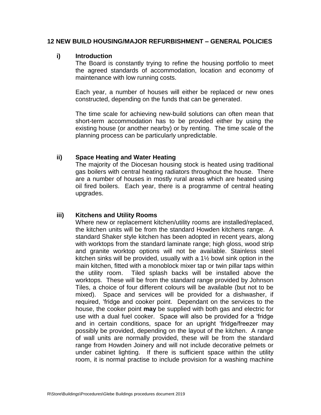#### **12 NEW BUILD HOUSING/MAJOR REFURBISHMENT – GENERAL POLICIES**

#### **i) Introduction**

The Board is constantly trying to refine the housing portfolio to meet the agreed standards of accommodation, location and economy of maintenance with low running costs.

Each year, a number of houses will either be replaced or new ones constructed, depending on the funds that can be generated.

The time scale for achieving new-build solutions can often mean that short-term accommodation has to be provided either by using the existing house (or another nearby) or by renting. The time scale of the planning process can be particularly unpredictable.

#### **ii) Space Heating and Water Heating**

The majority of the Diocesan housing stock is heated using traditional gas boilers with central heating radiators throughout the house. There are a number of houses in mostly rural areas which are heated using oil fired boilers. Each year, there is a programme of central heating upgrades.

# **iii) Kitchens and Utility Rooms**

Where new or replacement kitchen/utility rooms are installed/replaced, the kitchen units will be from the standard Howden kitchens range. A standard Shaker style kitchen has been adopted in recent years, along with worktops from the standard laminate range; high gloss, wood strip and granite worktop options will not be available. Stainless steel kitchen sinks will be provided, usually with a 1½ bowl sink option in the main kitchen, fitted with a monoblock mixer tap or twin pillar taps within the utility room. Tiled splash backs will be installed above the worktops. These will be from the standard range provided by Johnson Tiles, a choice of four different colours will be available (but not to be mixed). Space and services will be provided for a dishwasher, if required, 'fridge and cooker point. Dependant on the services to the house, the cooker point **may** be supplied with both gas and electric for use with a dual fuel cooker. Space will also be provided for a 'fridge and in certain conditions, space for an upright 'fridge/freezer may possibly be provided, depending on the layout of the kitchen. A range of wall units are normally provided, these will be from the standard range from Howden Joinery and will not include decorative pelmets or under cabinet lighting. If there is sufficient space within the utility room, it is normal practise to include provision for a washing machine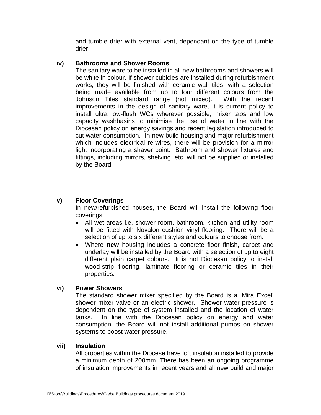and tumble drier with external vent, dependant on the type of tumble drier.

# **iv) Bathrooms and Shower Rooms**

The sanitary ware to be installed in all new bathrooms and showers will be white in colour. If shower cubicles are installed during refurbishment works, they will be finished with ceramic wall tiles, with a selection being made available from up to four different colours from the Johnson Tiles standard range (not mixed). With the recent improvements in the design of sanitary ware, it is current policy to install ultra low-flush WCs wherever possible, mixer taps and low capacity washbasins to minimise the use of water in line with the Diocesan policy on energy savings and recent legislation introduced to cut water consumption. In new build housing and major refurbishment which includes electrical re-wires, there will be provision for a mirror light incorporating a shaver point. Bathroom and shower fixtures and fittings, including mirrors, shelving, etc. will not be supplied or installed by the Board.

# **v) Floor Coverings**

In new/refurbished houses, the Board will install the following floor coverings:

- All wet areas i.e. shower room, bathroom, kitchen and utility room will be fitted with Novalon cushion vinyl flooring. There will be a selection of up to six different styles and colours to choose from.
- Where **new** housing includes a concrete floor finish, carpet and underlay will be installed by the Board with a selection of up to eight different plain carpet colours. It is not Diocesan policy to install wood-strip flooring, laminate flooring or ceramic tiles in their properties.

# **vi) Power Showers**

The standard shower mixer specified by the Board is a 'Mira Excel' shower mixer valve or an electric shower. Shower water pressure is dependent on the type of system installed and the location of water tanks. In line with the Diocesan policy on energy and water consumption, the Board will not install additional pumps on shower systems to boost water pressure.

# **vii) Insulation**

All properties within the Diocese have loft insulation installed to provide a minimum depth of 200mm. There has been an ongoing programme of insulation improvements in recent years and all new build and major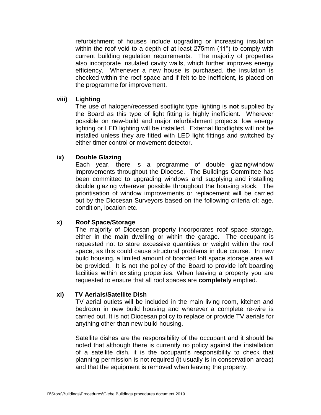refurbishment of houses include upgrading or increasing insulation within the roof void to a depth of at least 275mm (11") to comply with current building regulation requirements. The majority of properties also incorporate insulated cavity walls, which further improves energy efficiency. Whenever a new house is purchased, the insulation is checked within the roof space and if felt to be inefficient, is placed on the programme for improvement.

#### **viii) Lighting**

The use of halogen/recessed spotlight type lighting is **not** supplied by the Board as this type of light fitting is highly inefficient. Wherever possible on new-build and major refurbishment projects, low energy lighting or LED lighting will be installed. External floodlights will not be installed unless they are fitted with LED light fittings and switched by either timer control or movement detector.

# **ix) Double Glazing**

Each year, there is a programme of double glazing/window improvements throughout the Diocese. The Buildings Committee has been committed to upgrading windows and supplying and installing double glazing wherever possible throughout the housing stock. The prioritisation of window improvements or replacement will be carried out by the Diocesan Surveyors based on the following criteria of: age, condition, location etc.

# **x) Roof Space/Storage**

The majority of Diocesan property incorporates roof space storage, either in the main dwelling or within the garage. The occupant is requested not to store excessive quantities or weight within the roof space, as this could cause structural problems in due course. In new build housing, a limited amount of boarded loft space storage area will be provided. It is not the policy of the Board to provide loft boarding facilities within existing properties. When leaving a property you are requested to ensure that all roof spaces are **completely** emptied.

#### **xi) TV Aerials/Satellite Dish**

TV aerial outlets will be included in the main living room, kitchen and bedroom in new build housing and wherever a complete re-wire is carried out. It is not Diocesan policy to replace or provide TV aerials for anything other than new build housing.

Satellite dishes are the responsibility of the occupant and it should be noted that although there is currently no policy against the installation of a satellite dish, it is the occupant's responsibility to check that planning permission is not required (it usually is in conservation areas) and that the equipment is removed when leaving the property.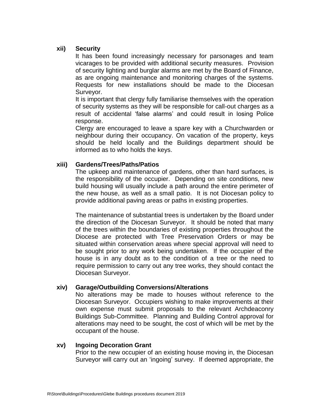# **xii) Security**

It has been found increasingly necessary for parsonages and team vicarages to be provided with additional security measures. Provision of security lighting and burglar alarms are met by the Board of Finance, as are ongoing maintenance and monitoring charges of the systems. Requests for new installations should be made to the Diocesan Surveyor.

It is important that clergy fully familiarise themselves with the operation of security systems as they will be responsible for call-out charges as a result of accidental 'false alarms' and could result in losing Police response.

Clergy are encouraged to leave a spare key with a Churchwarden or neighbour during their occupancy. On vacation of the property, keys should be held locally and the Buildings department should be informed as to who holds the keys.

#### **xiii) Gardens/Trees/Paths/Patios**

The upkeep and maintenance of gardens, other than hard surfaces, is the responsibility of the occupier. Depending on site conditions, new build housing will usually include a path around the entire perimeter of the new house, as well as a small patio. It is not Diocesan policy to provide additional paving areas or paths in existing properties.

The maintenance of substantial trees is undertaken by the Board under the direction of the Diocesan Surveyor. It should be noted that many of the trees within the boundaries of existing properties throughout the Diocese are protected with Tree Preservation Orders or may be situated within conservation areas where special approval will need to be sought prior to any work being undertaken. If the occupier of the house is in any doubt as to the condition of a tree or the need to require permission to carry out any tree works, they should contact the Diocesan Surveyor.

# **xiv) Garage/Outbuilding Conversions/Alterations**

No alterations may be made to houses without reference to the Diocesan Surveyor. Occupiers wishing to make improvements at their own expense must submit proposals to the relevant Archdeaconry Buildings Sub-Committee. Planning and Building Control approval for alterations may need to be sought, the cost of which will be met by the occupant of the house.

#### **xv) Ingoing Decoration Grant**

Prior to the new occupier of an existing house moving in, the Diocesan Surveyor will carry out an 'ingoing' survey. If deemed appropriate, the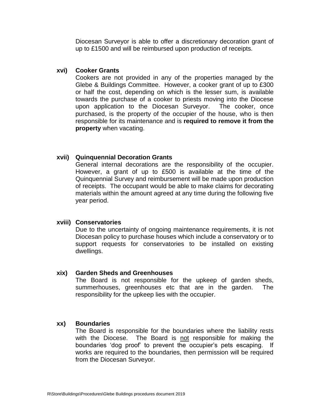Diocesan Surveyor is able to offer a discretionary decoration grant of up to £1500 and will be reimbursed upon production of receipts.

#### **xvi) Cooker Grants**

Cookers are not provided in any of the properties managed by the Glebe & Buildings Committee. However, a cooker grant of up to £300 or half the cost, depending on which is the lesser sum, is available towards the purchase of a cooker to priests moving into the Diocese upon application to the Diocesan Surveyor. The cooker, once purchased, is the property of the occupier of the house, who is then responsible for its maintenance and is **required to remove it from the property** when vacating.

# **xvii) Quinquennial Decoration Grants**

General internal decorations are the responsibility of the occupier. However, a grant of up to £500 is available at the time of the Quinquennial Survey and reimbursement will be made upon production of receipts. The occupant would be able to make claims for decorating materials within the amount agreed at any time during the following five year period.

#### **xviii) Conservatories**

Due to the uncertainty of ongoing maintenance requirements, it is not Diocesan policy to purchase houses which include a conservatory or to support requests for conservatories to be installed on existing dwellings.

#### **xix) Garden Sheds and Greenhouses**

The Board is not responsible for the upkeep of garden sheds, summerhouses, greenhouses etc that are in the garden. The responsibility for the upkeep lies with the occupier.

#### **xx) Boundaries**

The Board is responsible for the boundaries where the liability rests with the Diocese. The Board is not responsible for making the boundaries 'dog proof' to prevent the occupier's pets escaping. If works are required to the boundaries, then permission will be required from the Diocesan Surveyor.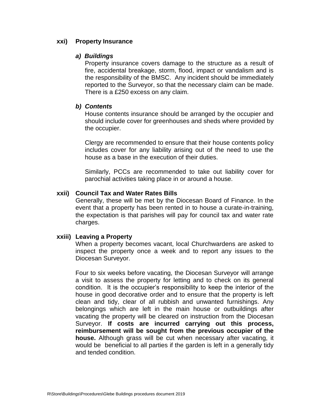#### **xxi) Property Insurance**

#### *a) Buildings*

Property insurance covers damage to the structure as a result of fire, accidental breakage, storm, flood, impact or vandalism and is the responsibility of the BMSC. Any incident should be immediately reported to the Surveyor, so that the necessary claim can be made. There is a £250 excess on any claim.

#### *b) Contents*

House contents insurance should be arranged by the occupier and should include cover for greenhouses and sheds where provided by the occupier.

Clergy are recommended to ensure that their house contents policy includes cover for any liability arising out of the need to use the house as a base in the execution of their duties.

Similarly, PCCs are recommended to take out liability cover for parochial activities taking place in or around a house.

# **xxii) Council Tax and Water Rates Bills**

Generally, these will be met by the Diocesan Board of Finance. In the event that a property has been rented in to house a curate-in-training, the expectation is that parishes will pay for council tax and water rate charges.

#### **xxiii) Leaving a Property**

When a property becomes vacant, local Churchwardens are asked to inspect the property once a week and to report any issues to the Diocesan Surveyor.

Four to six weeks before vacating, the Diocesan Surveyor will arrange a visit to assess the property for letting and to check on its general condition. It is the occupier's responsibility to keep the interior of the house in good decorative order and to ensure that the property is left clean and tidy, clear of all rubbish and unwanted furnishings. Any belongings which are left in the main house or outbuildings after vacating the property will be cleared on instruction from the Diocesan Surveyor. **If costs are incurred carrying out this process, reimbursement will be sought from the previous occupier of the house.** Although grass will be cut when necessary after vacating, it would be beneficial to all parties if the garden is left in a generally tidy and tended condition.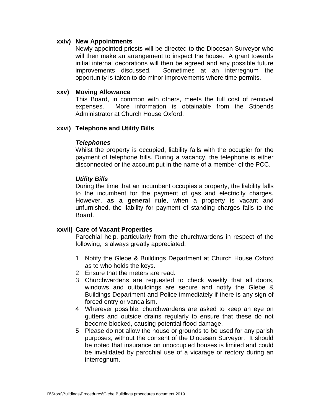#### **xxiv) New Appointments**

Newly appointed priests will be directed to the Diocesan Surveyor who will then make an arrangement to inspect the house. A grant towards initial internal decorations will then be agreed and any possible future improvements discussed. Sometimes at an interregnum the opportunity is taken to do minor improvements where time permits.

#### **xxv) Moving Allowance**

This Board, in common with others, meets the full cost of removal expenses. More information is obtainable from the Stipends Administrator at Church House Oxford.

#### **xxvi) Telephone and Utility Bills**

#### *Telephones*

Whilst the property is occupied, liability falls with the occupier for the payment of telephone bills. During a vacancy, the telephone is either disconnected or the account put in the name of a member of the PCC.

#### *Utility Bills*

During the time that an incumbent occupies a property, the liability falls to the incumbent for the payment of gas and electricity charges. However, **as a general rule**, when a property is vacant and unfurnished, the liability for payment of standing charges falls to the Board.

# **xxvii) Care of Vacant Properties**

Parochial help, particularly from the churchwardens in respect of the following, is always greatly appreciated:

- 1 Notify the Glebe & Buildings Department at Church House Oxford as to who holds the keys.
- 2 Ensure that the meters are read.
- 3 Churchwardens are requested to check weekly that all doors, windows and outbuildings are secure and notify the Glebe & Buildings Department and Police immediately if there is any sign of forced entry or vandalism.
- 4 Wherever possible, churchwardens are asked to keep an eye on gutters and outside drains regularly to ensure that these do not become blocked, causing potential flood damage.
- 5 Please do not allow the house or grounds to be used for any parish purposes, without the consent of the Diocesan Surveyor. It should be noted that insurance on unoccupied houses is limited and could be invalidated by parochial use of a vicarage or rectory during an interregnum.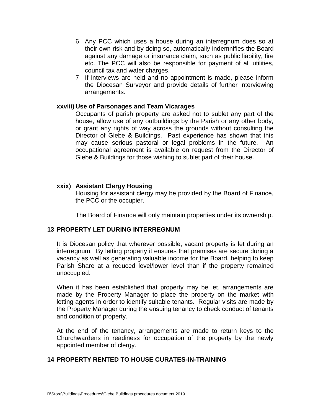- 6 Any PCC which uses a house during an interregnum does so at their own risk and by doing so, automatically indemnifies the Board against any damage or insurance claim, such as public liability, fire etc. The PCC will also be responsible for payment of all utilities, council tax and water charges.
- 7 If interviews are held and no appointment is made, please inform the Diocesan Surveyor and provide details of further interviewing arrangements.

#### **xxviii) Use of Parsonages and Team Vicarages**

Occupants of parish property are asked not to sublet any part of the house, allow use of any outbuildings by the Parish or any other body, or grant any rights of way across the grounds without consulting the Director of Glebe & Buildings. Past experience has shown that this may cause serious pastoral or legal problems in the future. An occupational agreement is available on request from the Director of Glebe & Buildings for those wishing to sublet part of their house.

#### **xxix) Assistant Clergy Housing**

Housing for assistant clergy may be provided by the Board of Finance, the PCC or the occupier.

The Board of Finance will only maintain properties under its ownership.

# **13 PROPERTY LET DURING INTERREGNUM**

It is Diocesan policy that wherever possible, vacant property is let during an interregnum. By letting property it ensures that premises are secure during a vacancy as well as generating valuable income for the Board, helping to keep Parish Share at a reduced level/lower level than if the property remained unoccupied.

When it has been established that property may be let, arrangements are made by the Property Manager to place the property on the market with letting agents in order to identify suitable tenants. Regular visits are made by the Property Manager during the ensuing tenancy to check conduct of tenants and condition of property.

At the end of the tenancy, arrangements are made to return keys to the Churchwardens in readiness for occupation of the property by the newly appointed member of clergy.

# **14 PROPERTY RENTED TO HOUSE CURATES-IN-TRAINING**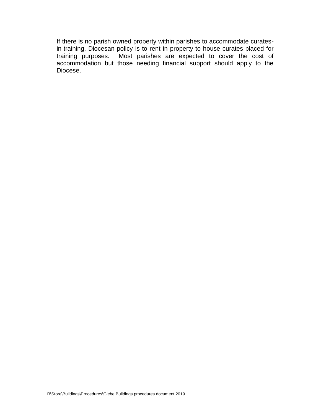If there is no parish owned property within parishes to accommodate curatesin-training, Diocesan policy is to rent in property to house curates placed for training purposes. Most parishes are expected to cover the cost of accommodation but those needing financial support should apply to the Diocese.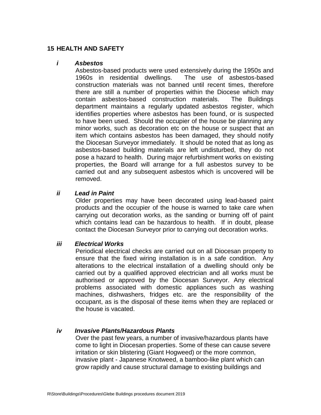# **15 HEALTH AND SAFETY**

#### *i Asbestos*

Asbestos-based products were used extensively during the 1950s and 1960s in residential dwellings. The use of asbestos-based construction materials was not banned until recent times, therefore there are still a number of properties within the Diocese which may contain asbestos-based construction materials. The Buildings department maintains a regularly updated asbestos register, which identifies properties where asbestos has been found, or is suspected to have been used. Should the occupier of the house be planning any minor works, such as decoration etc on the house or suspect that an item which contains asbestos has been damaged, they should notify the Diocesan Surveyor immediately. It should be noted that as long as asbestos-based building materials are left undisturbed, they do not pose a hazard to health. During major refurbishment works on existing properties, the Board will arrange for a full asbestos survey to be carried out and any subsequent asbestos which is uncovered will be removed.

# *ii Lead in Paint*

Older properties may have been decorated using lead-based paint products and the occupier of the house is warned to take care when carrying out decoration works, as the sanding or burning off of paint which contains lead can be hazardous to health. If in doubt, please contact the Diocesan Surveyor prior to carrying out decoration works.

#### *iii Electrical Works*

Periodical electrical checks are carried out on all Diocesan property to ensure that the fixed wiring installation is in a safe condition. Any alterations to the electrical installation of a dwelling should only be carried out by a qualified approved electrician and all works must be authorised or approved by the Diocesan Surveyor. Any electrical problems associated with domestic appliances such as washing machines, dishwashers, fridges etc. are the responsibility of the occupant, as is the disposal of these items when they are replaced or the house is vacated.

#### *iv Invasive Plants/Hazardous Plants*

Over the past few years, a number of invasive/hazardous plants have come to light in Diocesan properties. Some of these can cause severe irritation or skin blistering (Giant Hogweed) or the more common, invasive plant - Japanese Knotweed, a bamboo-like plant which can grow rapidly and cause structural damage to existing buildings and